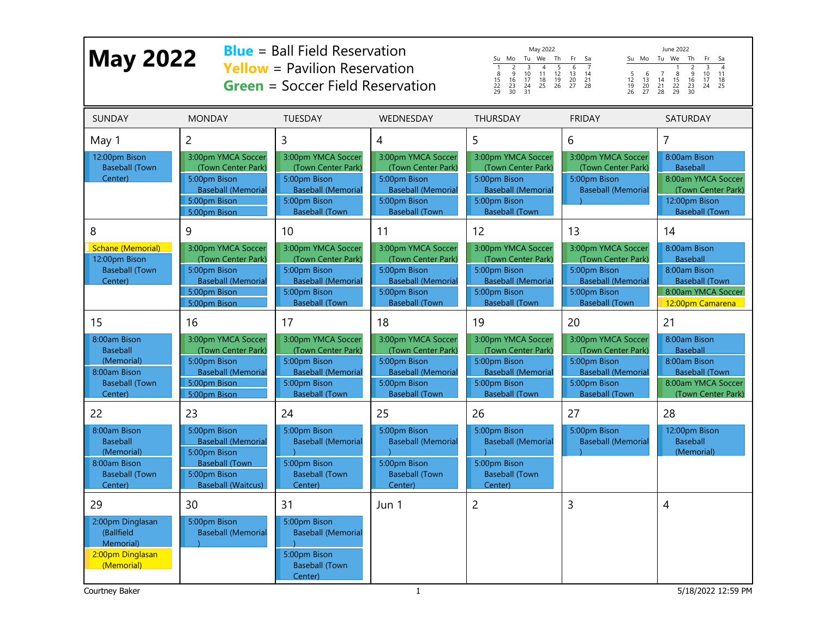| <b>May 2022</b>                                                                                         |                                                                                                                                         | <b>Blue</b> = Ball Field Reservation<br><b>Yellow</b> = Pavilion Reservation<br><b>Green</b> = Soccer Field Reservation              | May 2022<br>June 2022<br>Tu We Th<br>Su Mo Tu We<br>Th<br>Su Mo<br>Fr<br>Sa<br>Fr<br>Sa<br>$\overline{4}$<br>$\overline{1}$<br>$\frac{2}{9}$<br>$\frac{5}{12}$<br>$6\overline{6}$<br>$\overline{7}$<br>$\frac{2}{9}$<br>$\frac{16}{23}$<br>$\frac{23}{30}$<br>$\overline{3}$<br>$\overline{4}$<br>$\overline{3}$<br>10 <sup>10</sup><br>11<br>$\overline{7}$<br>$\frac{8}{15}$<br>22<br>29<br>$\begin{array}{c} 1\bar{3} \\ 20 \\ 27 \end{array}$<br>$\frac{5}{12}$<br>$\frac{12}{19}$<br>26<br>$\begin{array}{c} 6 \\ 13 \\ 20 \\ 27 \end{array}$<br>$\frac{8}{15}$<br>22<br>29<br>10<br>11<br>14<br>$\begin{array}{c}\n 16 \\  23 \\  30\n \end{array}$<br>$\frac{17}{24}$<br>$\begin{array}{c} 14 \\ 21 \\ 28 \end{array}$<br>$\begin{array}{c} 18 \\ 25 \end{array}$<br>$\frac{19}{26}$<br>$\frac{21}{28}$<br>$\frac{17}{24}$<br>$\begin{array}{c} 18 \\ 25 \end{array}$<br>31 |                                                                                                                                      |                                                                                                                                      |                                                                                                                            |
|---------------------------------------------------------------------------------------------------------|-----------------------------------------------------------------------------------------------------------------------------------------|--------------------------------------------------------------------------------------------------------------------------------------|------------------------------------------------------------------------------------------------------------------------------------------------------------------------------------------------------------------------------------------------------------------------------------------------------------------------------------------------------------------------------------------------------------------------------------------------------------------------------------------------------------------------------------------------------------------------------------------------------------------------------------------------------------------------------------------------------------------------------------------------------------------------------------------------------------------------------------------------------------------------------------|--------------------------------------------------------------------------------------------------------------------------------------|--------------------------------------------------------------------------------------------------------------------------------------|----------------------------------------------------------------------------------------------------------------------------|
| <b>SUNDAY</b>                                                                                           | <b>MONDAY</b>                                                                                                                           | <b>TUESDAY</b>                                                                                                                       | WEDNESDAY                                                                                                                                                                                                                                                                                                                                                                                                                                                                                                                                                                                                                                                                                                                                                                                                                                                                          | <b>THURSDAY</b>                                                                                                                      | <b>FRIDAY</b>                                                                                                                        | <b>SATURDAY</b>                                                                                                            |
| May 1<br>12:00pm Bison<br><b>Baseball (Town</b><br>Center)                                              | $\overline{2}$<br>3:00pm YMCA Soccer<br>(Town Center Park)<br>5:00pm Bison<br><b>Baseball (Memorial</b><br>5:00pm Bison<br>5:00pm Bison | 3<br>3:00pm YMCA Soccer<br>(Town Center Park)<br>5:00pm Bison<br><b>Baseball (Memorial</b><br>5:00pm Bison<br><b>Baseball (Town</b>  | 4<br>3:00pm YMCA Soccer<br>(Town Center Park)<br>5:00pm Bison<br><b>Baseball (Memorial</b><br>5:00pm Bison<br><b>Baseball (Town</b>                                                                                                                                                                                                                                                                                                                                                                                                                                                                                                                                                                                                                                                                                                                                                | 5<br>3:00pm YMCA Soccer<br>(Town Center Park)<br>5:00pm Bison<br><b>Baseball (Memorial</b><br>5:00pm Bison<br><b>Baseball (Town</b>  | 6<br>3:00pm YMCA Soccer<br>(Town Center Park)<br>5:00pm Bison<br><b>Baseball (Memorial</b>                                           | 7<br>8:00am Bison<br><b>Baseball</b><br>8:00am YMCA Soccer<br>(Town Center Park)<br>12:00pm Bison<br><b>Baseball (Town</b> |
| 8<br><b>Schane (Memorial)</b><br>12:00pm Bison<br><b>Baseball (Town</b><br>Center)                      | 9<br>3:00pm YMCA Soccer<br>(Town Center Park)<br>5:00pm Bison<br><b>Baseball (Memorial</b><br>5:00pm Bison<br>5:00pm Bison              | 10<br>3:00pm YMCA Soccer<br>(Town Center Park)<br>5:00pm Bison<br><b>Baseball (Memorial</b><br>5:00pm Bison<br><b>Baseball (Town</b> | 11<br>3:00pm YMCA Soccer<br>(Town Center Park)<br>5:00pm Bison<br><b>Baseball (Memorial</b><br>5:00pm Bison<br><b>Baseball (Town</b>                                                                                                                                                                                                                                                                                                                                                                                                                                                                                                                                                                                                                                                                                                                                               | 12<br>3:00pm YMCA Soccer<br>(Town Center Park)<br>5:00pm Bison<br><b>Baseball (Memorial</b><br>5:00pm Bison<br><b>Baseball (Town</b> | 13<br>3:00pm YMCA Soccer<br>(Town Center Park)<br>5:00pm Bison<br><b>Baseball (Memorial</b><br>5:00pm Bison<br><b>Baseball (Town</b> | 14<br>8:00am Bison<br><b>Baseball</b><br>8:00am Bison<br><b>Baseball (Town</b><br>8:00am YMCA Soccer<br>12:00pm Camarena   |
| 15<br>8:00am Bison<br><b>Baseball</b><br>(Memorial)<br>8:00am Bison<br><b>Baseball (Town</b><br>Center) | 16<br>3:00pm YMCA Soccer<br>(Town Center Park)<br>5:00pm Bison<br><b>Baseball (Memorial</b><br>5:00pm Bison<br>5:00pm Bison             | 17<br>3:00pm YMCA Soccer<br>(Town Center Park)<br>5:00pm Bison<br><b>Baseball (Memorial</b><br>5:00pm Bison<br><b>Baseball (Town</b> | 18<br>3:00pm YMCA Soccer<br>(Town Center Park)<br>5:00pm Bison<br><b>Baseball (Memorial</b><br>5:00pm Bison<br><b>Baseball (Town</b>                                                                                                                                                                                                                                                                                                                                                                                                                                                                                                                                                                                                                                                                                                                                               | 19<br>3:00pm YMCA Soccer<br>(Town Center Park)<br>5:00pm Bison<br><b>Baseball (Memorial</b><br>5:00pm Bison<br><b>Baseball (Town</b> | 20<br>3:00pm YMCA Soccer<br>(Town Center Park)<br>5:00pm Bison<br><b>Baseball (Memorial</b><br>5:00pm Bison<br><b>Baseball (Town</b> | 21<br>8:00am Bison<br><b>Baseball</b><br>8:00am Bison<br><b>Baseball (Town</b><br>8:00am YMCA Soccer<br>(Town Center Park) |
| 22<br>8:00am Bison<br><b>Baseball</b><br>(Memorial)<br>8:00am Bison<br><b>Baseball (Town</b><br>Center) | 23<br>5:00pm Bison<br><b>Baseball (Memorial</b><br>5:00pm Bison<br><b>Baseball (Town</b><br>5:00pm Bison<br><b>Baseball (Waitcus)</b>   | 24<br>5:00pm Bison<br><b>Baseball (Memorial</b><br>5:00pm Bison<br><b>Baseball (Town</b><br>Center)                                  | 25<br>5:00pm Bison<br><b>Baseball (Memorial</b><br>5:00pm Bison<br><b>Baseball (Town</b><br>Center)                                                                                                                                                                                                                                                                                                                                                                                                                                                                                                                                                                                                                                                                                                                                                                                | 26<br>5:00pm Bison<br><b>Baseball (Memorial</b><br>5:00pm Bison<br><b>Baseball (Town</b><br>Center)                                  | 27<br>5:00pm Bison<br><b>Baseball (Memorial</b>                                                                                      | 28<br>12:00pm Bison<br><b>Baseball</b><br>(Memorial)                                                                       |
| 29<br>2:00pm Dinglasan<br>(Ballfield<br>Memorial)<br>2:00pm Dinglasan<br>(Memorial)<br>Courtney Baker   | 30<br>5:00pm Bison<br><b>Baseball (Memorial</b>                                                                                         | 31<br>5:00pm Bison<br><b>Baseball (Memorial</b><br>5:00pm Bison<br><b>Baseball (Town</b><br>Center)                                  | Jun 1<br>$\mathbf{1}$                                                                                                                                                                                                                                                                                                                                                                                                                                                                                                                                                                                                                                                                                                                                                                                                                                                              | $\overline{c}$                                                                                                                       | 3                                                                                                                                    | 4<br>5/18/2022 12:59 PM                                                                                                    |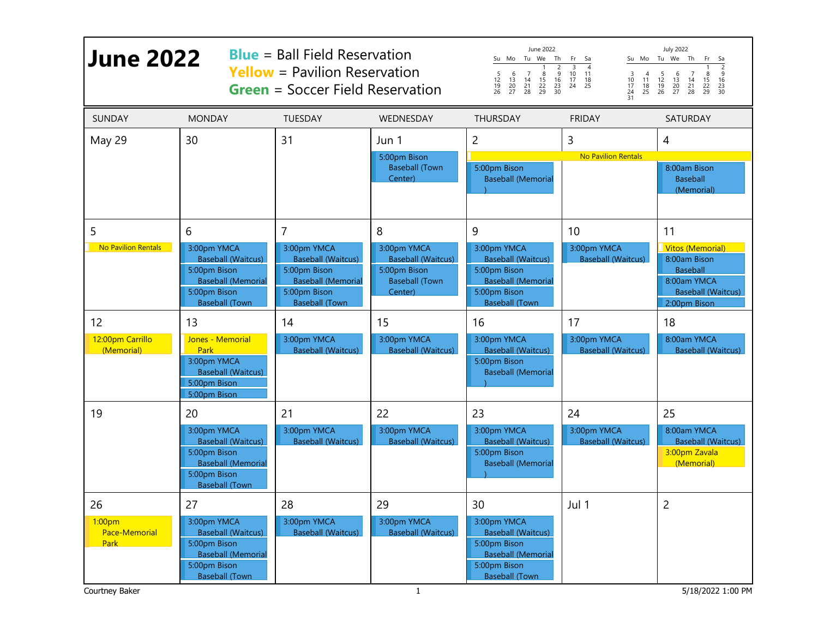| <b>June 2022</b>                                        |                                                                                                                                      | <b>Blue</b> = Ball Field Reservation<br><b>Yellow</b> = Pavilion Reservation<br><b>Green</b> = Soccer Field Reservation        |                                                                                              | June 2022<br>Su Mo Tu We Th<br>$\begin{array}{c}\n2 \\ 9\n\end{array}$<br>6<br>$\begin{array}{c} 7 \\ 14 \\ 21 \\ 28 \end{array}$<br>$\frac{8}{15}$<br>22<br>29<br>5<br>$\frac{12}{19}$<br>26<br>$\frac{13}{20}$<br>27<br>$\begin{array}{c} 16 \\ 23 \\ 30 \end{array}$ | <b>July 2022</b><br>Su Mo Tu We Th<br>Fr Sa<br>Fr<br>Sa<br>$\overline{2}$<br>$\overline{3}$<br>$\overline{4}$<br>5<br>$\begin{array}{c} 7 \\ 14 \\ 21 \\ 28 \end{array}$<br>9<br>10 <sup>°</sup><br>$\overline{4}$<br>6<br>8<br>11<br>3<br>$\frac{10}{17}$<br>$\begin{array}{c} 11 \\ 18 \\ 25 \end{array}$<br>$\frac{12}{19}$<br>26<br>$\frac{13}{20}$<br>27<br>$\frac{15}{22}$<br>29<br>$\frac{17}{24}$<br>$\frac{16}{23}$<br>30<br>$\begin{array}{c} 18 \\ 25 \end{array}$<br>24<br>31 |                                                                                                                        |
|---------------------------------------------------------|--------------------------------------------------------------------------------------------------------------------------------------|--------------------------------------------------------------------------------------------------------------------------------|----------------------------------------------------------------------------------------------|-------------------------------------------------------------------------------------------------------------------------------------------------------------------------------------------------------------------------------------------------------------------------|-------------------------------------------------------------------------------------------------------------------------------------------------------------------------------------------------------------------------------------------------------------------------------------------------------------------------------------------------------------------------------------------------------------------------------------------------------------------------------------------|------------------------------------------------------------------------------------------------------------------------|
| <b>SUNDAY</b>                                           | <b>MONDAY</b>                                                                                                                        | <b>TUESDAY</b>                                                                                                                 | WEDNESDAY                                                                                    | <b>THURSDAY</b>                                                                                                                                                                                                                                                         | <b>FRIDAY</b>                                                                                                                                                                                                                                                                                                                                                                                                                                                                             | <b>SATURDAY</b>                                                                                                        |
| May 29                                                  | 30                                                                                                                                   | 31                                                                                                                             | Jun 1<br>5:00pm Bison<br><b>Baseball (Town</b><br>Center)                                    | $\overline{c}$<br>5:00pm Bison<br><b>Baseball (Memorial</b>                                                                                                                                                                                                             | 3<br><b>No Pavilion Rentals</b>                                                                                                                                                                                                                                                                                                                                                                                                                                                           | 4<br>8:00am Bison<br><b>Baseball</b><br>(Memorial)                                                                     |
| 5                                                       | 6                                                                                                                                    | $\overline{7}$                                                                                                                 | 8                                                                                            | 9                                                                                                                                                                                                                                                                       | 10                                                                                                                                                                                                                                                                                                                                                                                                                                                                                        | 11                                                                                                                     |
| <b>No Pavilion Rentals</b>                              | 3:00pm YMCA<br><b>Baseball (Waitcus)</b><br>5:00pm Bison<br><b>Baseball (Memorial</b><br>5:00pm Bison<br><b>Baseball (Town</b>       | 3:00pm YMCA<br><b>Baseball (Waitcus)</b><br>5:00pm Bison<br><b>Baseball (Memorial</b><br>5:00pm Bison<br><b>Baseball (Town</b> | 3:00pm YMCA<br><b>Baseball (Waitcus)</b><br>5:00pm Bison<br><b>Baseball (Town</b><br>Center) | 3:00pm YMCA<br><b>Baseball (Waitcus)</b><br>5:00pm Bison<br><b>Baseball (Memorial</b><br>5:00pm Bison<br><b>Baseball (Town</b>                                                                                                                                          | 3:00pm YMCA<br><b>Baseball (Waitcus)</b>                                                                                                                                                                                                                                                                                                                                                                                                                                                  | <b>Vitos (Memorial)</b><br>8:00am Bison<br><b>Baseball</b><br>8:00am YMCA<br><b>Baseball (Waitcus)</b><br>2:00pm Bison |
| 12<br>12:00pm Carrillo<br>(Memorial)                    | 13<br>Jones - Memorial<br><b>Park</b><br>3:00pm YMCA<br><b>Baseball (Waitcus)</b><br>5:00pm Bison<br>5:00pm Bison                    | 14<br>3:00pm YMCA<br><b>Baseball (Waitcus)</b>                                                                                 | 15<br>3:00pm YMCA<br><b>Baseball (Waitcus)</b>                                               | 16<br>3:00pm YMCA<br><b>Baseball (Waitcus)</b><br>5:00pm Bison<br><b>Baseball (Memorial</b>                                                                                                                                                                             | 17<br>3:00pm YMCA<br><b>Baseball (Waitcus)</b>                                                                                                                                                                                                                                                                                                                                                                                                                                            | 18<br>8:00am YMCA<br><b>Baseball (Waitcus)</b>                                                                         |
| 19                                                      | 20<br>3:00pm YMCA<br><b>Baseball (Waitcus)</b><br>5:00pm Bison<br><b>Baseball (Memorial</b><br>5:00pm Bison<br><b>Baseball (Town</b> | 21<br>3:00pm YMCA<br><b>Baseball (Waitcus)</b>                                                                                 | 22<br>3:00pm YMCA<br><b>Baseball (Waitcus)</b>                                               | 23<br>3:00pm YMCA<br><b>Baseball (Waitcus)</b><br>5:00pm Bison<br><b>Baseball (Memorial</b>                                                                                                                                                                             | 24<br>3:00pm YMCA<br><b>Baseball (Waitcus)</b>                                                                                                                                                                                                                                                                                                                                                                                                                                            | 25<br>8:00am YMCA<br><b>Baseball (Waitcus)</b><br>3:00pm Zavala<br>(Memorial)                                          |
| 26<br>1:00pm<br>Pace-Memorial<br>Park<br>Courtney Baker | 27<br>3:00pm YMCA<br><b>Baseball (Waitcus)</b><br>5:00pm Bison<br><b>Baseball (Memorial</b><br>5:00pm Bison<br><b>Baseball (Town</b> | 28<br>3:00pm YMCA<br><b>Baseball (Waitcus)</b>                                                                                 | 29<br>3:00pm YMCA<br><b>Baseball (Waitcus)</b><br>$\mathbf{1}$                               | 30<br>3:00pm YMCA<br><b>Baseball (Waitcus)</b><br>5:00pm Bison<br><b>Baseball (Memorial</b><br>5:00pm Bison<br><b>Baseball (Town</b>                                                                                                                                    | Jul 1                                                                                                                                                                                                                                                                                                                                                                                                                                                                                     | 2<br>5/18/2022 1:00 PM                                                                                                 |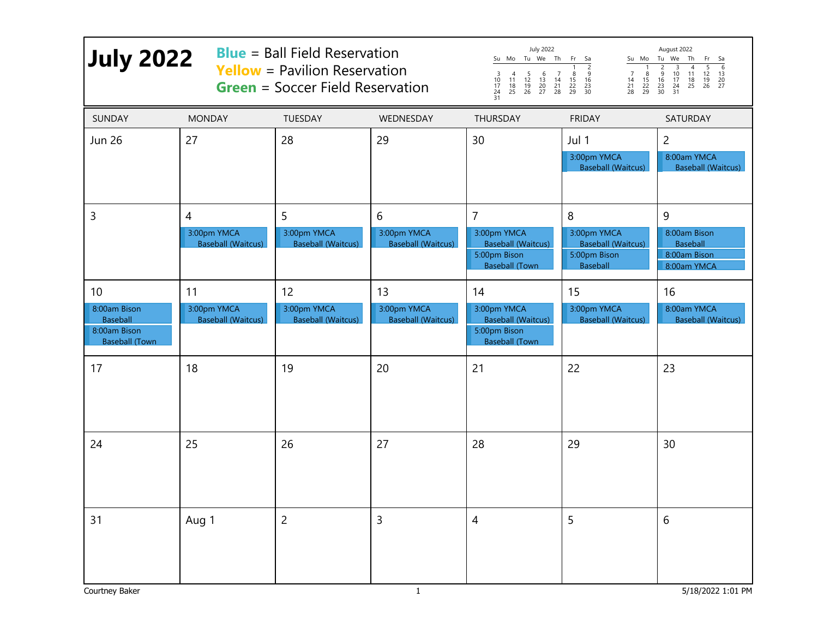| <b>July 2022</b>                                                         |                                               | <b>Blue</b> = Ball Field Reservation<br><b>Yellow</b> = Pavilion Reservation<br><b>Green</b> = Soccer Field Reservation |                                               | <b>July 2022</b><br>Su Mo Tu We Th Fr Sa<br>$\begin{array}{c}\n 2 \\  -9 \\  16 \\  23 \\  30\n \end{array}$<br>$\begin{array}{c} 4 \\ 11 \\ 18 \\ 25 \end{array}$<br>$\frac{5}{12}$<br>$\frac{12}{19}$<br>26<br>$\begin{array}{c} 6 \\ 13 \\ 20 \\ 27 \end{array}$<br>$\begin{array}{c} 7 \\ 14 \\ 21 \\ 28 \end{array}$<br>$\frac{8}{15}$<br>22<br>29<br>$\frac{8}{15}$<br>22<br>29<br>3<br>7<br>$\frac{10}{17}$<br>24<br>$\begin{array}{c} 14 \\ 21 \\ 28 \end{array}$<br>31 |                                                                                  | August 2022<br>Su Mo Tu We Th<br>- Fr<br>- Sa<br>$\overline{6}$<br>5<br>$\overline{2}$<br>$\overline{\mathbf{3}}$<br>$\begin{smallmatrix} 4 \\ 11 \end{smallmatrix}$<br>9<br>$\frac{10}{17}$<br>24<br>$\frac{12}{19}$<br>26<br>$\frac{13}{20}$<br>$\frac{16}{23}$<br>30<br>$\frac{18}{25}$<br>31 |
|--------------------------------------------------------------------------|-----------------------------------------------|-------------------------------------------------------------------------------------------------------------------------|-----------------------------------------------|---------------------------------------------------------------------------------------------------------------------------------------------------------------------------------------------------------------------------------------------------------------------------------------------------------------------------------------------------------------------------------------------------------------------------------------------------------------------------------|----------------------------------------------------------------------------------|--------------------------------------------------------------------------------------------------------------------------------------------------------------------------------------------------------------------------------------------------------------------------------------------------|
| <b>SUNDAY</b>                                                            | <b>MONDAY</b>                                 | <b>TUESDAY</b>                                                                                                          | WEDNESDAY                                     | <b>THURSDAY</b>                                                                                                                                                                                                                                                                                                                                                                                                                                                                 | <b>FRIDAY</b>                                                                    | SATURDAY                                                                                                                                                                                                                                                                                         |
| <b>Jun 26</b>                                                            | 27                                            | 28                                                                                                                      | 29                                            | 30                                                                                                                                                                                                                                                                                                                                                                                                                                                                              | Jul 1<br>3:00pm YMCA<br><b>Baseball (Waitcus)</b>                                | $\overline{2}$<br>8:00am YMCA<br><b>Baseball (Waitcus)</b>                                                                                                                                                                                                                                       |
| 3                                                                        | 4<br>3:00pm YMCA<br><b>Baseball (Waitcus)</b> | 5<br>3:00pm YMCA<br><b>Baseball (Waitcus)</b>                                                                           | 6<br>3:00pm YMCA<br><b>Baseball (Waitcus)</b> | $\overline{7}$<br>3:00pm YMCA<br><b>Baseball (Waitcus)</b><br>5:00pm Bison<br><b>Baseball (Town</b>                                                                                                                                                                                                                                                                                                                                                                             | 8<br>3:00pm YMCA<br><b>Baseball (Waitcus)</b><br>5:00pm Bison<br><b>Baseball</b> | 9<br>8:00am Bison<br><b>Baseball</b><br>8:00am Bison<br>8:00am YMCA                                                                                                                                                                                                                              |
| 10                                                                       | 11                                            | 12                                                                                                                      | 13                                            | 14                                                                                                                                                                                                                                                                                                                                                                                                                                                                              | 15                                                                               | 16                                                                                                                                                                                                                                                                                               |
| 8:00am Bison<br><b>Baseball</b><br>8:00am Bison<br><b>Baseball (Town</b> | 3:00pm YMCA<br><b>Baseball (Waitcus)</b>      | 3:00pm YMCA<br><b>Baseball (Waitcus)</b>                                                                                | 3:00pm YMCA<br><b>Baseball (Waitcus)</b>      | 3:00pm YMCA<br><b>Baseball (Waitcus)</b><br>5:00pm Bison<br><b>Baseball (Town</b>                                                                                                                                                                                                                                                                                                                                                                                               | 3:00pm YMCA<br><b>Baseball (Waitcus)</b>                                         | 8:00am YMCA<br><b>Baseball (Waitcus)</b>                                                                                                                                                                                                                                                         |
| 17                                                                       | 18                                            | 19                                                                                                                      | 20                                            | 21                                                                                                                                                                                                                                                                                                                                                                                                                                                                              | 22                                                                               | 23                                                                                                                                                                                                                                                                                               |
| 24                                                                       | 25                                            | 26                                                                                                                      | 27                                            | 28                                                                                                                                                                                                                                                                                                                                                                                                                                                                              | 29                                                                               | 30                                                                                                                                                                                                                                                                                               |
| 31<br>Courtney Baker                                                     | Aug 1                                         | $\overline{2}$                                                                                                          | 3<br>$\mathbf{1}$                             | $\overline{4}$                                                                                                                                                                                                                                                                                                                                                                                                                                                                  | 5                                                                                | 6<br>5/18/2022 1:01 PM                                                                                                                                                                                                                                                                           |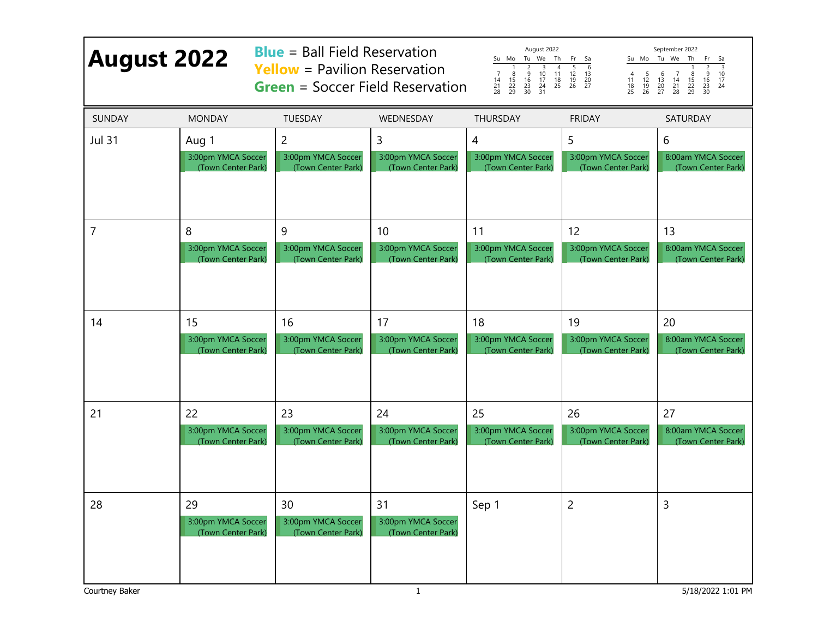| <b>August 2022</b>   |                                                | <b>Blue</b> = Ball Field Reservation<br><b>Yellow</b> = Pavilion Reservation<br><b>Green</b> = Soccer Field Reservation |                                                     | August 2022<br>Su Mo Tu We Th<br>Fr Sa<br>$\frac{4}{11}$<br>$\frac{18}{25}$<br>$\frac{5}{12}$<br>$\frac{12}{19}$<br>26<br>$\begin{array}{c}\n 3 \\  10 \\  17 \\  24 \\  31\n\end{array}$<br>6<br>$\frac{2}{9}$<br>$\overline{8}$<br>$\overline{7}$<br>$\frac{13}{20}$<br>20<br>$\frac{5}{12}$<br>$\frac{12}{19}$<br>26<br>$\begin{array}{c} 16 \\ 23 \\ 30 \end{array}$<br>$\frac{15}{22}$<br>29<br>$\frac{11}{18}$<br>25<br>$\frac{14}{21}$<br>28 |                    | September 2022<br>Su Mo Tu We Th<br>Fr<br>Sa<br>$\frac{3}{10}$<br>9<br>$\frac{8}{15}$<br>22<br>29<br>$\begin{array}{c} 6 \\ 13 \\ 20 \\ 27 \end{array}$<br>$\begin{array}{c} 7 \\ 14 \\ 21 \\ 28 \end{array}$<br>$\begin{array}{c} 16 \\ 23 \\ 30 \end{array}$<br>$\frac{17}{24}$ |
|----------------------|------------------------------------------------|-------------------------------------------------------------------------------------------------------------------------|-----------------------------------------------------|-----------------------------------------------------------------------------------------------------------------------------------------------------------------------------------------------------------------------------------------------------------------------------------------------------------------------------------------------------------------------------------------------------------------------------------------------------|--------------------|-----------------------------------------------------------------------------------------------------------------------------------------------------------------------------------------------------------------------------------------------------------------------------------|
| SUNDAY               | <b>MONDAY</b>                                  | <b>TUESDAY</b>                                                                                                          | WEDNESDAY                                           | <b>THURSDAY</b>                                                                                                                                                                                                                                                                                                                                                                                                                                     | <b>FRIDAY</b>      | SATURDAY                                                                                                                                                                                                                                                                          |
| <b>Jul 31</b>        | Aug 1                                          | $\overline{2}$                                                                                                          | 3                                                   | 4                                                                                                                                                                                                                                                                                                                                                                                                                                                   | 5                  | 6                                                                                                                                                                                                                                                                                 |
|                      | 3:00pm YMCA Soccer                             | 3:00pm YMCA Soccer                                                                                                      | 3:00pm YMCA Soccer                                  | 3:00pm YMCA Soccer                                                                                                                                                                                                                                                                                                                                                                                                                                  | 3:00pm YMCA Soccer | 8:00am YMCA Soccer                                                                                                                                                                                                                                                                |
|                      | (Town Center Park)                             | (Town Center Park)                                                                                                      | (Town Center Park)                                  | (Town Center Park)                                                                                                                                                                                                                                                                                                                                                                                                                                  | (Town Center Park) | (Town Center Park)                                                                                                                                                                                                                                                                |
| 7                    | 8                                              | 9                                                                                                                       | 10                                                  | 11                                                                                                                                                                                                                                                                                                                                                                                                                                                  | 12                 | 13                                                                                                                                                                                                                                                                                |
|                      | 3:00pm YMCA Soccer                             | 3:00pm YMCA Soccer                                                                                                      | 3:00pm YMCA Soccer                                  | 3:00pm YMCA Soccer                                                                                                                                                                                                                                                                                                                                                                                                                                  | 3:00pm YMCA Soccer | 8:00am YMCA Soccer                                                                                                                                                                                                                                                                |
|                      | (Town Center Park)                             | (Town Center Park)                                                                                                      | (Town Center Park)                                  | (Town Center Park)                                                                                                                                                                                                                                                                                                                                                                                                                                  | (Town Center Park) | (Town Center Park)                                                                                                                                                                                                                                                                |
| 14                   | 15                                             | 16                                                                                                                      | 17                                                  | 18                                                                                                                                                                                                                                                                                                                                                                                                                                                  | 19                 | 20                                                                                                                                                                                                                                                                                |
|                      | 3:00pm YMCA Soccer                             | 3:00pm YMCA Soccer                                                                                                      | 3:00pm YMCA Soccer                                  | 3:00pm YMCA Soccer                                                                                                                                                                                                                                                                                                                                                                                                                                  | 3:00pm YMCA Soccer | 8:00am YMCA Soccer                                                                                                                                                                                                                                                                |
|                      | (Town Center Park)                             | (Town Center Park)                                                                                                      | (Town Center Park)                                  | (Town Center Park)                                                                                                                                                                                                                                                                                                                                                                                                                                  | (Town Center Park) | (Town Center Park)                                                                                                                                                                                                                                                                |
| 21                   | 22                                             | 23                                                                                                                      | 24                                                  | 25                                                                                                                                                                                                                                                                                                                                                                                                                                                  | 26                 | 27                                                                                                                                                                                                                                                                                |
|                      | 3:00pm YMCA Soccer                             | 3:00pm YMCA Soccer                                                                                                      | 3:00pm YMCA Soccer                                  | 3:00pm YMCA Soccer                                                                                                                                                                                                                                                                                                                                                                                                                                  | 3:00pm YMCA Soccer | 8:00am YMCA Soccer                                                                                                                                                                                                                                                                |
|                      | (Town Center Park)                             | (Town Center Park)                                                                                                      | (Town Center Park)                                  | (Town Center Park)                                                                                                                                                                                                                                                                                                                                                                                                                                  | (Town Center Park) | (Town Center Park)                                                                                                                                                                                                                                                                |
| 28<br>Courtney Baker | 29<br>3:00pm YMCA Soccer<br>(Town Center Park) | 30<br>3:00pm YMCA Soccer<br>(Town Center Park)                                                                          | 31<br>3:00pm YMCA Soccer<br>(Town Center Park)<br>1 | Sep 1                                                                                                                                                                                                                                                                                                                                                                                                                                               | 2                  | 3<br>5/18/2022 1:01 PM                                                                                                                                                                                                                                                            |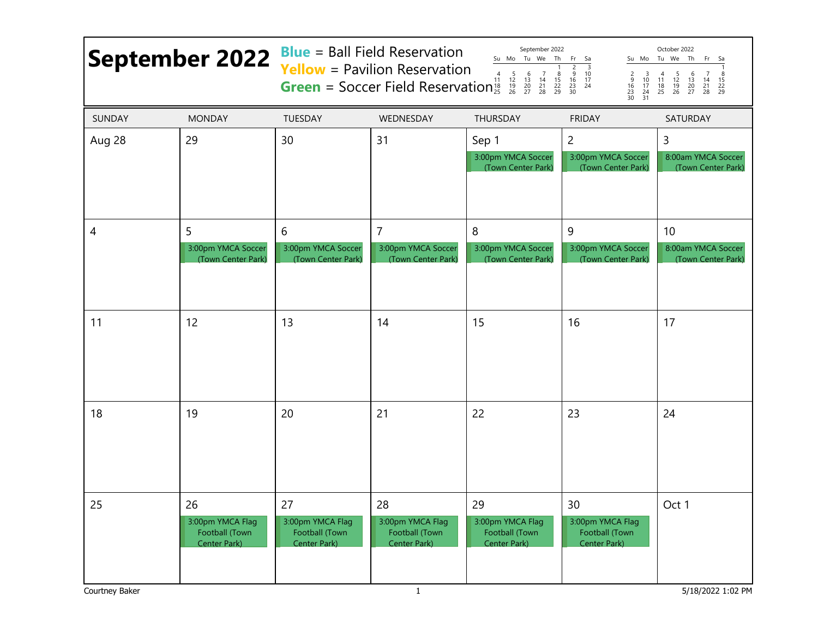| <b>September 2022</b> |                                                                 | <b>Blue</b> = Ball Field Reservation<br>September 2022<br>October 2022<br>Su Mo Tu We<br>Th<br>Su Mo Tu We Th<br>Fr<br>Fr.<br>Sa<br>Sa<br><b>Yellow</b> = Pavilion Reservation<br>$\frac{2}{9}$<br>$\overline{\mathbf{3}}$<br>$\frac{8}{15}$<br>22<br>29<br>$\overline{4}$<br>10<br>$\begin{array}{c} 3 \\ 10 \\ 17 \\ 24 \\ 31 \end{array}$<br>$\begin{array}{c} 4 \\ 11 \\ 18 \\ 25 \end{array}$<br>$\begin{array}{c} 6 \\ 13 \\ 20 \\ 27 \end{array}$<br>$\frac{2}{16}$<br>$\frac{16}{23}$<br>$\frac{23}{30}$<br>$\frac{5}{12}$<br>$\frac{12}{19}$<br>26<br>$\begin{array}{c} 7 \\ 14 \\ 21 \\ 28 \end{array}$<br>$\begin{array}{c} 16 \\ 23 \\ 30 \end{array}$<br><b>Green</b> = Soccer Field Reservation<br>$\frac{17}{24}$<br>$\begin{array}{c} 15 \\ 22 \\ 29 \end{array}$ |                                                                          |                                                          |                                                            |                                                |
|-----------------------|-----------------------------------------------------------------|-----------------------------------------------------------------------------------------------------------------------------------------------------------------------------------------------------------------------------------------------------------------------------------------------------------------------------------------------------------------------------------------------------------------------------------------------------------------------------------------------------------------------------------------------------------------------------------------------------------------------------------------------------------------------------------------------------------------------------------------------------------------------------------|--------------------------------------------------------------------------|----------------------------------------------------------|------------------------------------------------------------|------------------------------------------------|
| <b>SUNDAY</b>         | <b>MONDAY</b>                                                   | TUESDAY                                                                                                                                                                                                                                                                                                                                                                                                                                                                                                                                                                                                                                                                                                                                                                           | WEDNESDAY                                                                | THURSDAY                                                 | <b>FRIDAY</b>                                              | SATURDAY                                       |
| Aug 28                | 29                                                              | 30                                                                                                                                                                                                                                                                                                                                                                                                                                                                                                                                                                                                                                                                                                                                                                                | 31                                                                       | Sep 1<br>3:00pm YMCA Soccer<br>(Town Center Park)        | $\overline{c}$<br>3:00pm YMCA Soccer<br>(Town Center Park) | 3<br>8:00am YMCA Soccer<br>(Town Center Park)  |
| 4                     | 5<br>3:00pm YMCA Soccer<br>(Town Center Park)                   | 6<br>3:00pm YMCA Soccer<br>(Town Center Park)                                                                                                                                                                                                                                                                                                                                                                                                                                                                                                                                                                                                                                                                                                                                     | 7<br>3:00pm YMCA Soccer<br>(Town Center Park)                            | 8<br>3:00pm YMCA Soccer<br>(Town Center Park)            | 9<br>3:00pm YMCA Soccer<br>(Town Center Park)              | 10<br>8:00am YMCA Soccer<br>(Town Center Park) |
| 11                    | 12                                                              | 13                                                                                                                                                                                                                                                                                                                                                                                                                                                                                                                                                                                                                                                                                                                                                                                | 14                                                                       | 15                                                       | 16                                                         | 17                                             |
| 18                    | 19                                                              | 20                                                                                                                                                                                                                                                                                                                                                                                                                                                                                                                                                                                                                                                                                                                                                                                | 21                                                                       | 22                                                       | 23                                                         | 24                                             |
| 25<br>Courtney Baker  | 26<br>3:00pm YMCA Flag<br>Football (Town<br><b>Center Park)</b> | 27<br>3:00pm YMCA Flag<br>Football (Town<br>Center Park)                                                                                                                                                                                                                                                                                                                                                                                                                                                                                                                                                                                                                                                                                                                          | 28<br>3:00pm YMCA Flag<br>Football (Town<br>Center Park)<br>$\mathbf{1}$ | 29<br>3:00pm YMCA Flag<br>Football (Town<br>Center Park) | 30<br>3:00pm YMCA Flag<br>Football (Town<br>Center Park)   | Oct 1<br>5/18/2022 1:02 PM                     |